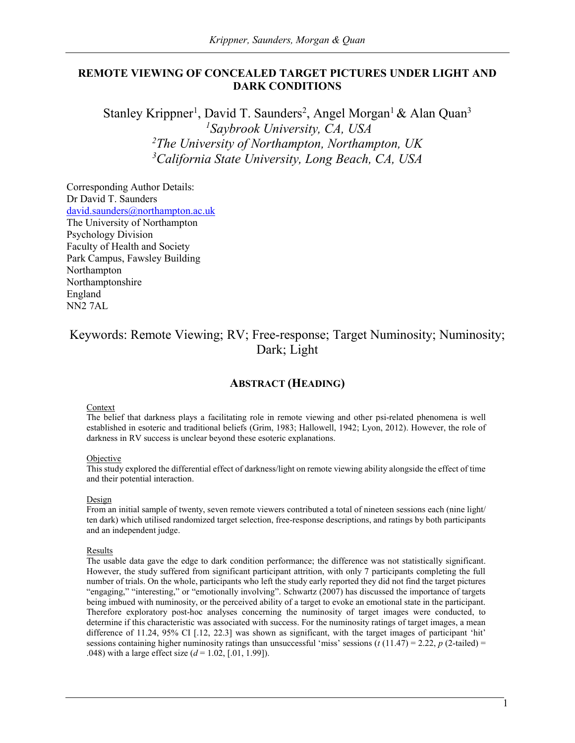## **REMOTE VIEWING OF CONCEALED TARGET PICTURES UNDER LIGHT AND DARK CONDITIONS**

Stanley Krippner<sup>1</sup>, David T. Saunders<sup>2</sup>, Angel Morgan<sup>1</sup> & Alan Quan<sup>3</sup> *Saybrook University, CA, USA The University of Northampton, Northampton, UK California State University, Long Beach, CA, USA*

Corresponding Author Details: Dr David T. Saunders [david.saunders@northampton.ac.uk](mailto:david.saunders@northampton.ac.uk) The University of Northampton Psychology Division Faculty of Health and Society Park Campus, Fawsley Building Northampton Northamptonshire England NN2 7AL

# Keywords: Remote Viewing; RV; Free-response; Target Numinosity; Numinosity; Dark; Light

## **ABSTRACT (HEADING)**

#### Context

The belief that darkness plays a facilitating role in remote viewing and other psi-related phenomena is well established in esoteric and traditional beliefs (Grim, 1983; Hallowell, 1942; Lyon, 2012). However, the role of darkness in RV success is unclear beyond these esoteric explanations.

#### Objective

This study explored the differential effect of darkness/light on remote viewing ability alongside the effect of time and their potential interaction.

#### Design

From an initial sample of twenty, seven remote viewers contributed a total of nineteen sessions each (nine light/ ten dark) which utilised randomized target selection, free-response descriptions, and ratings by both participants and an independent judge.

#### **Results**

The usable data gave the edge to dark condition performance; the difference was not statistically significant. However, the study suffered from significant participant attrition, with only 7 participants completing the full number of trials. On the whole, participants who left the study early reported they did not find the target pictures "engaging," "interesting," or "emotionally involving". Schwartz (2007) has discussed the importance of targets being imbued with numinosity, or the perceived ability of a target to evoke an emotional state in the participant. Therefore exploratory post-hoc analyses concerning the numinosity of target images were conducted, to determine if this characteristic was associated with success. For the numinosity ratings of target images, a mean difference of 11.24, 95% CI [.12, 22.3] was shown as significant, with the target images of participant 'hit' sessions containing higher numinosity ratings than unsuccessful 'miss' sessions  $(t(11.47) = 2.22, p(2-tailed) =$ .048) with a large effect size (*d* = 1.02, [.01, 1.99]).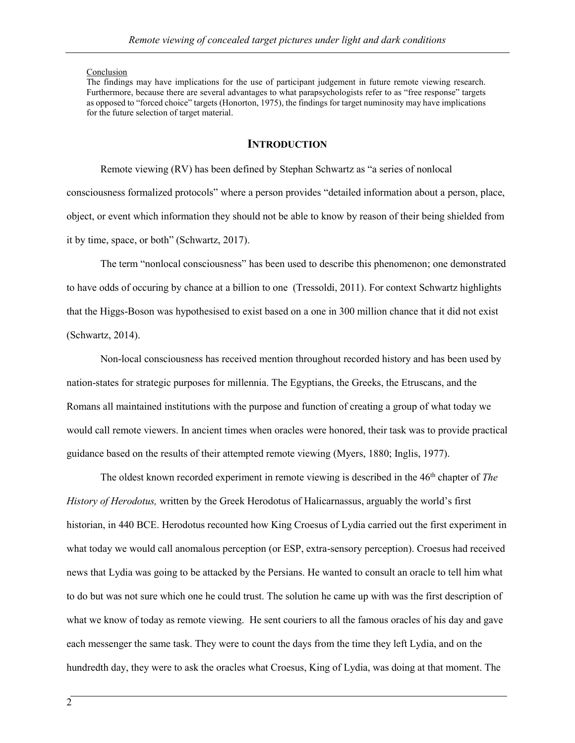#### Conclusion

The findings may have implications for the use of participant judgement in future remote viewing research. Furthermore, because there are several advantages to what parapsychologists refer to as "free response" targets as opposed to "forced choice" targets (Honorton, 1975), the findings for target numinosity may have implications for the future selection of target material.

## **INTRODUCTION**

Remote viewing (RV) has been defined by Stephan Schwartz as "a series of nonlocal consciousness formalized protocols" where a person provides "detailed information about a person, place, object, or event which information they should not be able to know by reason of their being shielded from it by time, space, or both" (Schwartz, 2017).

The term "nonlocal consciousness" has been used to describe this phenomenon; one demonstrated to have odds of occuring by chance at a billion to one (Tressoldi, 2011). For context Schwartz highlights that the Higgs-Boson was hypothesised to exist based on a one in 300 million chance that it did not exist (Schwartz, 2014).

Non-local consciousness has received mention throughout recorded history and has been used by nation-states for strategic purposes for millennia. The Egyptians, the Greeks, the Etruscans, and the Romans all maintained institutions with the purpose and function of creating a group of what today we would call remote viewers. In ancient times when oracles were honored, their task was to provide practical guidance based on the results of their attempted remote viewing (Myers, 1880; Inglis, 1977).

The oldest known recorded experiment in remote viewing is described in the 46<sup>th</sup> chapter of *The History of Herodotus,* written by the Greek Herodotus of Halicarnassus, arguably the world's first historian, in 440 BCE. Herodotus recounted how King Croesus of Lydia carried out the first experiment in what today we would call anomalous perception (or ESP, extra-sensory perception). Croesus had received news that Lydia was going to be attacked by the Persians. He wanted to consult an oracle to tell him what to do but was not sure which one he could trust. The solution he came up with was the first description of what we know of today as remote viewing. He sent couriers to all the famous oracles of his day and gave each messenger the same task. They were to count the days from the time they left Lydia, and on the hundredth day, they were to ask the oracles what Croesus, King of Lydia, was doing at that moment. The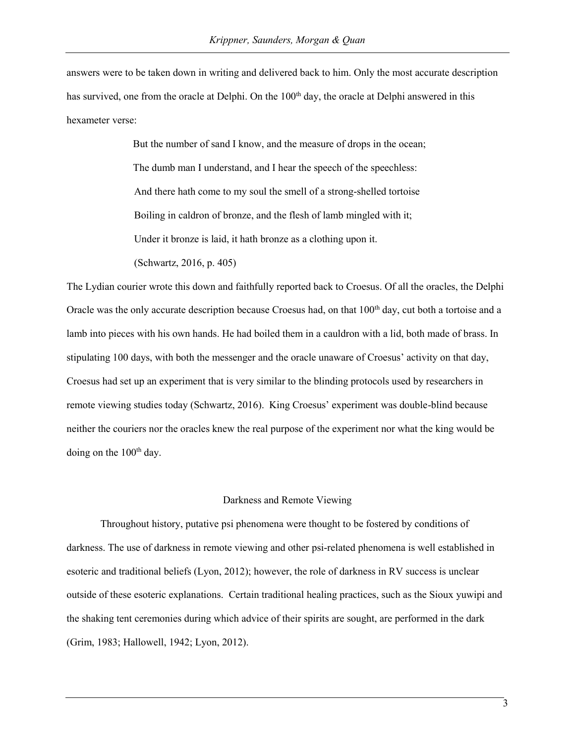answers were to be taken down in writing and delivered back to him. Only the most accurate description has survived, one from the oracle at Delphi. On the 100<sup>th</sup> day, the oracle at Delphi answered in this hexameter verse:

> But the number of sand I know, and the measure of drops in the ocean; The dumb man I understand, and I hear the speech of the speechless: And there hath come to my soul the smell of a strong-shelled tortoise Boiling in caldron of bronze, and the flesh of lamb mingled with it; Under it bronze is laid, it hath bronze as a clothing upon it. (Schwartz, 2016, p. 405)

The Lydian courier wrote this down and faithfully reported back to Croesus. Of all the oracles, the Delphi Oracle was the only accurate description because Croesus had, on that  $100<sup>th</sup>$  day, cut both a tortoise and a lamb into pieces with his own hands. He had boiled them in a cauldron with a lid, both made of brass. In stipulating 100 days, with both the messenger and the oracle unaware of Croesus' activity on that day, Croesus had set up an experiment that is very similar to the blinding protocols used by researchers in remote viewing studies today (Schwartz, 2016). King Croesus' experiment was double-blind because neither the couriers nor the oracles knew the real purpose of the experiment nor what the king would be doing on the  $100<sup>th</sup>$  day.

#### Darkness and Remote Viewing

Throughout history, putative psi phenomena were thought to be fostered by conditions of darkness. The use of darkness in remote viewing and other psi-related phenomena is well established in esoteric and traditional beliefs (Lyon, 2012); however, the role of darkness in RV success is unclear outside of these esoteric explanations. Certain traditional healing practices, such as the Sioux yuwipi and the shaking tent ceremonies during which advice of their spirits are sought, are performed in the dark (Grim, 1983; Hallowell, 1942; Lyon, 2012).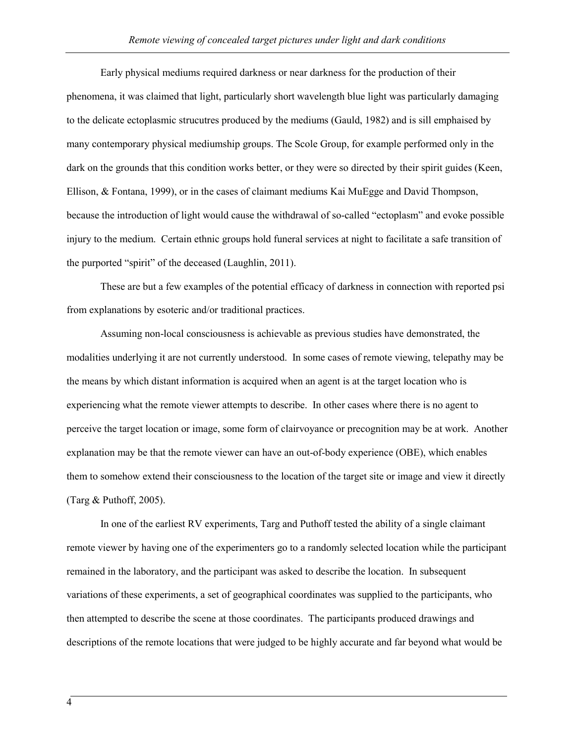Early physical mediums required darkness or near darkness for the production of their phenomena, it was claimed that light, particularly short wavelength blue light was particularly damaging to the delicate ectoplasmic strucutres produced by the mediums (Gauld, 1982) and is sill emphaised by many contemporary physical mediumship groups. The Scole Group, for example performed only in the dark on the grounds that this condition works better, or they were so directed by their spirit guides (Keen, Ellison, & Fontana, 1999), or in the cases of claimant mediums Kai MuEgge and David Thompson, because the introduction of light would cause the withdrawal of so-called "ectoplasm" and evoke possible injury to the medium. Certain ethnic groups hold funeral services at night to facilitate a safe transition of the purported "spirit" of the deceased (Laughlin, 2011).

These are but a few examples of the potential efficacy of darkness in connection with reported psi from explanations by esoteric and/or traditional practices.

Assuming non-local consciousness is achievable as previous studies have demonstrated, the modalities underlying it are not currently understood. In some cases of remote viewing, telepathy may be the means by which distant information is acquired when an agent is at the target location who is experiencing what the remote viewer attempts to describe. In other cases where there is no agent to perceive the target location or image, some form of clairvoyance or precognition may be at work. Another explanation may be that the remote viewer can have an out-of-body experience (OBE), which enables them to somehow extend their consciousness to the location of the target site or image and view it directly (Targ & Puthoff, 2005).

In one of the earliest RV experiments, Targ and Puthoff tested the ability of a single claimant remote viewer by having one of the experimenters go to a randomly selected location while the participant remained in the laboratory, and the participant was asked to describe the location. In subsequent variations of these experiments, a set of geographical coordinates was supplied to the participants, who then attempted to describe the scene at those coordinates. The participants produced drawings and descriptions of the remote locations that were judged to be highly accurate and far beyond what would be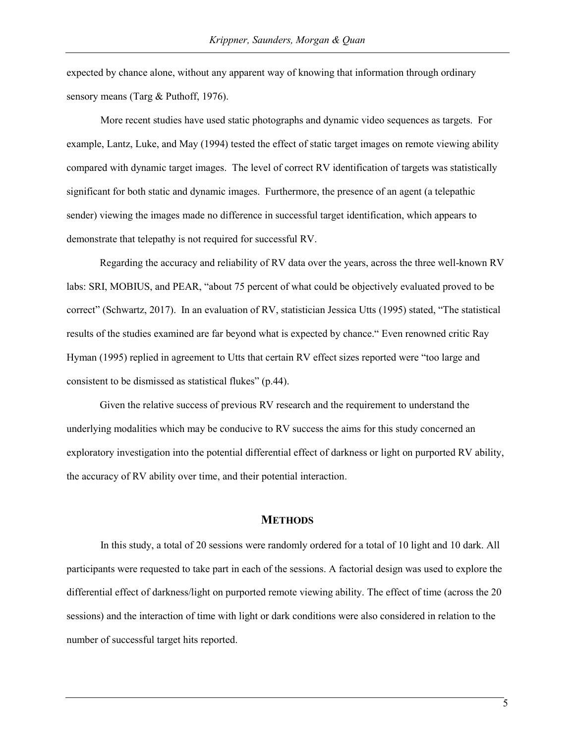expected by chance alone, without any apparent way of knowing that information through ordinary sensory means (Targ & Puthoff, 1976).

More recent studies have used static photographs and dynamic video sequences as targets. For example, Lantz, Luke, and May (1994) tested the effect of static target images on remote viewing ability compared with dynamic target images. The level of correct RV identification of targets was statistically significant for both static and dynamic images. Furthermore, the presence of an agent (a telepathic sender) viewing the images made no difference in successful target identification, which appears to demonstrate that telepathy is not required for successful RV.

Regarding the accuracy and reliability of RV data over the years, across the three well-known RV labs: SRI, MOBIUS, and PEAR, "about 75 percent of what could be objectively evaluated proved to be correct" (Schwartz, 2017). In an evaluation of RV, statistician Jessica Utts (1995) stated, "The statistical results of the studies examined are far beyond what is expected by chance." Even renowned critic Ray Hyman (1995) replied in agreement to Utts that certain RV effect sizes reported were "too large and consistent to be dismissed as statistical flukes" (p.44).

Given the relative success of previous RV research and the requirement to understand the underlying modalities which may be conducive to RV success the aims for this study concerned an exploratory investigation into the potential differential effect of darkness or light on purported RV ability, the accuracy of RV ability over time, and their potential interaction.

## **METHODS**

In this study, a total of 20 sessions were randomly ordered for a total of 10 light and 10 dark. All participants were requested to take part in each of the sessions. A factorial design was used to explore the differential effect of darkness/light on purported remote viewing ability. The effect of time (across the 20 sessions) and the interaction of time with light or dark conditions were also considered in relation to the number of successful target hits reported.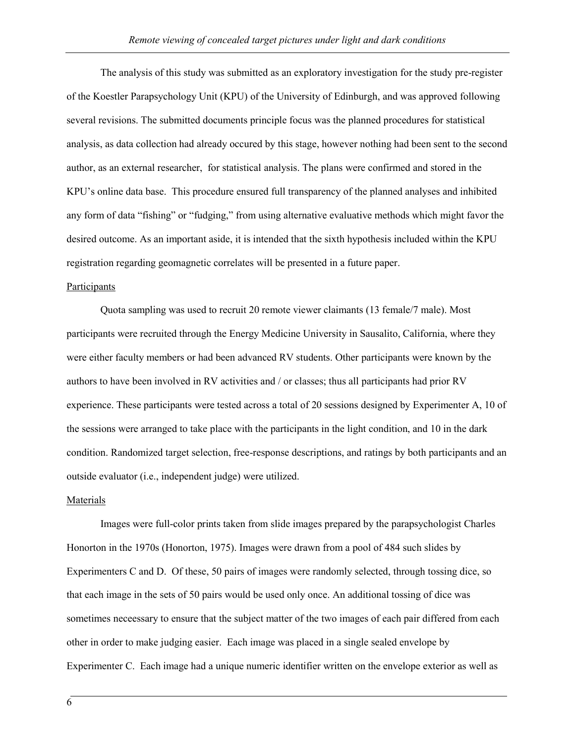The analysis of this study was submitted as an exploratory investigation for the study pre-register of the Koestler Parapsychology Unit (KPU) of the University of Edinburgh, and was approved following several revisions. The submitted documents principle focus was the planned procedures for statistical analysis, as data collection had already occured by this stage, however nothing had been sent to the second author, as an external researcher, for statistical analysis. The plans were confirmed and stored in the KPU's online data base. This procedure ensured full transparency of the planned analyses and inhibited any form of data "fishing" or "fudging," from using alternative evaluative methods which might favor the desired outcome. As an important aside, it is intended that the sixth hypothesis included within the KPU registration regarding geomagnetic correlates will be presented in a future paper.

## Participants

Quota sampling was used to recruit 20 remote viewer claimants (13 female/7 male). Most participants were recruited through the Energy Medicine University in Sausalito, California, where they were either faculty members or had been advanced RV students. Other participants were known by the authors to have been involved in RV activities and / or classes; thus all participants had prior RV experience. These participants were tested across a total of 20 sessions designed by Experimenter A, 10 of the sessions were arranged to take place with the participants in the light condition, and 10 in the dark condition. Randomized target selection, free-response descriptions, and ratings by both participants and an outside evaluator (i.e., independent judge) were utilized.

#### Materials

Images were full-color prints taken from slide images prepared by the parapsychologist Charles Honorton in the 1970s (Honorton, 1975). Images were drawn from a pool of 484 such slides by Experimenters C and D. Of these, 50 pairs of images were randomly selected, through tossing dice, so that each image in the sets of 50 pairs would be used only once. An additional tossing of dice was sometimes neceessary to ensure that the subject matter of the two images of each pair differed from each other in order to make judging easier. Each image was placed in a single sealed envelope by Experimenter C. Each image had a unique numeric identifier written on the envelope exterior as well as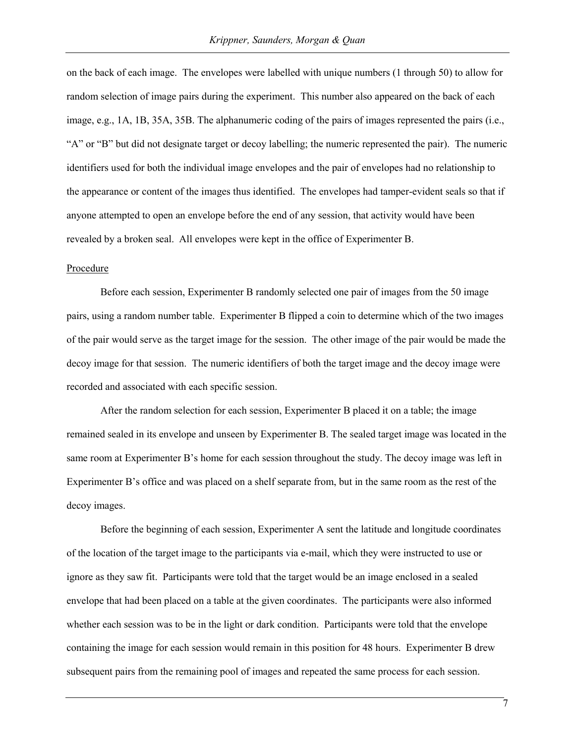on the back of each image. The envelopes were labelled with unique numbers (1 through 50) to allow for random selection of image pairs during the experiment. This number also appeared on the back of each image, e.g., 1A, 1B, 35A, 35B. The alphanumeric coding of the pairs of images represented the pairs (i.e., "A" or "B" but did not designate target or decoy labelling; the numeric represented the pair). The numeric identifiers used for both the individual image envelopes and the pair of envelopes had no relationship to the appearance or content of the images thus identified. The envelopes had tamper-evident seals so that if anyone attempted to open an envelope before the end of any session, that activity would have been revealed by a broken seal. All envelopes were kept in the office of Experimenter B.

#### Procedure

Before each session, Experimenter B randomly selected one pair of images from the 50 image pairs, using a random number table. Experimenter B flipped a coin to determine which of the two images of the pair would serve as the target image for the session. The other image of the pair would be made the decoy image for that session. The numeric identifiers of both the target image and the decoy image were recorded and associated with each specific session.

After the random selection for each session, Experimenter B placed it on a table; the image remained sealed in its envelope and unseen by Experimenter B. The sealed target image was located in the same room at Experimenter B's home for each session throughout the study. The decoy image was left in Experimenter B's office and was placed on a shelf separate from, but in the same room as the rest of the decoy images.

Before the beginning of each session, Experimenter A sent the latitude and longitude coordinates of the location of the target image to the participants via e-mail, which they were instructed to use or ignore as they saw fit. Participants were told that the target would be an image enclosed in a sealed envelope that had been placed on a table at the given coordinates. The participants were also informed whether each session was to be in the light or dark condition. Participants were told that the envelope containing the image for each session would remain in this position for 48 hours. Experimenter B drew subsequent pairs from the remaining pool of images and repeated the same process for each session.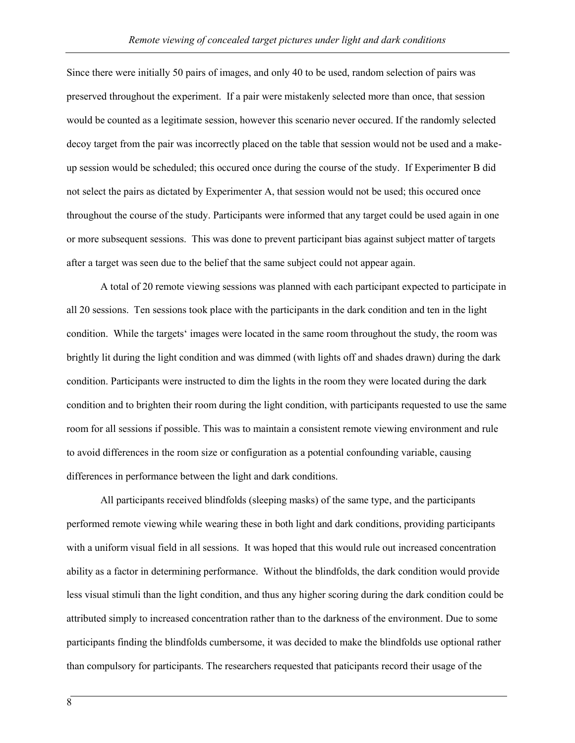Since there were initially 50 pairs of images, and only 40 to be used, random selection of pairs was preserved throughout the experiment. If a pair were mistakenly selected more than once, that session would be counted as a legitimate session, however this scenario never occured. If the randomly selected decoy target from the pair was incorrectly placed on the table that session would not be used and a makeup session would be scheduled; this occured once during the course of the study. If Experimenter B did not select the pairs as dictated by Experimenter A, that session would not be used; this occured once throughout the course of the study. Participants were informed that any target could be used again in one or more subsequent sessions. This was done to prevent participant bias against subject matter of targets after a target was seen due to the belief that the same subject could not appear again.

A total of 20 remote viewing sessions was planned with each participant expected to participate in all 20 sessions. Ten sessions took place with the participants in the dark condition and ten in the light condition. While the targets' images were located in the same room throughout the study, the room was brightly lit during the light condition and was dimmed (with lights off and shades drawn) during the dark condition. Participants were instructed to dim the lights in the room they were located during the dark condition and to brighten their room during the light condition, with participants requested to use the same room for all sessions if possible. This was to maintain a consistent remote viewing environment and rule to avoid differences in the room size or configuration as a potential confounding variable, causing differences in performance between the light and dark conditions.

All participants received blindfolds (sleeping masks) of the same type, and the participants performed remote viewing while wearing these in both light and dark conditions, providing participants with a uniform visual field in all sessions. It was hoped that this would rule out increased concentration ability as a factor in determining performance. Without the blindfolds, the dark condition would provide less visual stimuli than the light condition, and thus any higher scoring during the dark condition could be attributed simply to increased concentration rather than to the darkness of the environment. Due to some participants finding the blindfolds cumbersome, it was decided to make the blindfolds use optional rather than compulsory for participants. The researchers requested that paticipants record their usage of the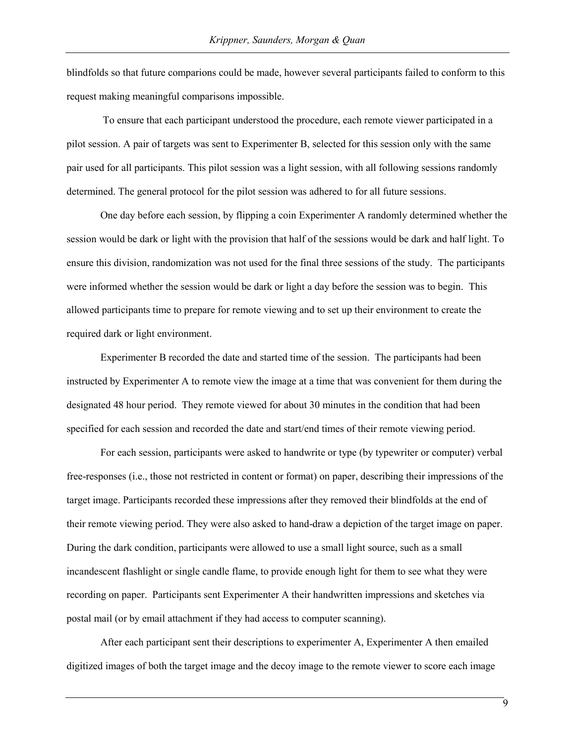blindfolds so that future comparions could be made, however several participants failed to conform to this request making meaningful comparisons impossible.

To ensure that each participant understood the procedure, each remote viewer participated in a pilot session. A pair of targets was sent to Experimenter B, selected for this session only with the same pair used for all participants. This pilot session was a light session, with all following sessions randomly determined. The general protocol for the pilot session was adhered to for all future sessions.

One day before each session, by flipping a coin Experimenter A randomly determined whether the session would be dark or light with the provision that half of the sessions would be dark and half light. To ensure this division, randomization was not used for the final three sessions of the study. The participants were informed whether the session would be dark or light a day before the session was to begin. This allowed participants time to prepare for remote viewing and to set up their environment to create the required dark or light environment.

Experimenter B recorded the date and started time of the session. The participants had been instructed by Experimenter A to remote view the image at a time that was convenient for them during the designated 48 hour period. They remote viewed for about 30 minutes in the condition that had been specified for each session and recorded the date and start/end times of their remote viewing period.

For each session, participants were asked to handwrite or type (by typewriter or computer) verbal free-responses (i.e., those not restricted in content or format) on paper, describing their impressions of the target image. Participants recorded these impressions after they removed their blindfolds at the end of their remote viewing period. They were also asked to hand-draw a depiction of the target image on paper. During the dark condition, participants were allowed to use a small light source, such as a small incandescent flashlight or single candle flame, to provide enough light for them to see what they were recording on paper. Participants sent Experimenter A their handwritten impressions and sketches via postal mail (or by email attachment if they had access to computer scanning).

After each participant sent their descriptions to experimenter A, Experimenter A then emailed digitized images of both the target image and the decoy image to the remote viewer to score each image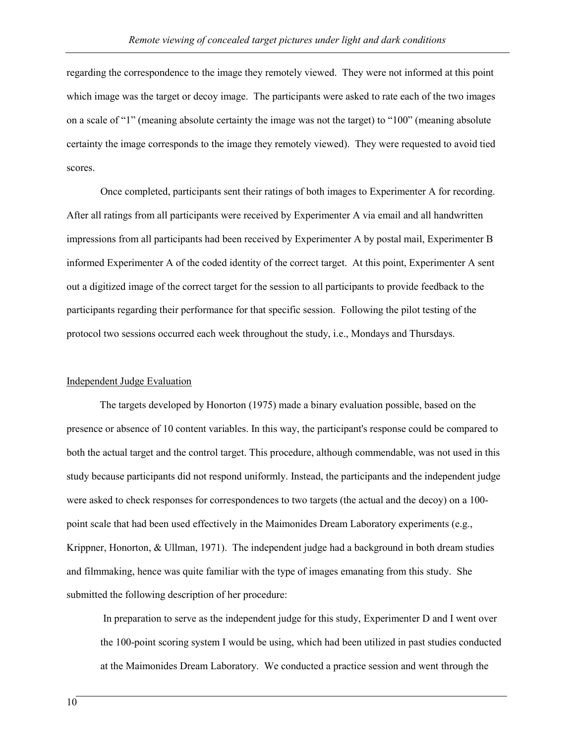regarding the correspondence to the image they remotely viewed. They were not informed at this point which image was the target or decoy image. The participants were asked to rate each of the two images on a scale of "1" (meaning absolute certainty the image was not the target) to "100" (meaning absolute certainty the image corresponds to the image they remotely viewed). They were requested to avoid tied scores.

Once completed, participants sent their ratings of both images to Experimenter A for recording. After all ratings from all participants were received by Experimenter A via email and all handwritten impressions from all participants had been received by Experimenter A by postal mail, Experimenter B informed Experimenter A of the coded identity of the correct target. At this point, Experimenter A sent out a digitized image of the correct target for the session to all participants to provide feedback to the participants regarding their performance for that specific session. Following the pilot testing of the protocol two sessions occurred each week throughout the study, i.e., Mondays and Thursdays.

#### Independent Judge Evaluation

The targets developed by Honorton (1975) made a binary evaluation possible, based on the presence or absence of 10 content variables. In this way, the participant's response could be compared to both the actual target and the control target. This procedure, although commendable, was not used in this study because participants did not respond uniformly. Instead, the participants and the independent judge were asked to check responses for correspondences to two targets (the actual and the decoy) on a 100 point scale that had been used effectively in the Maimonides Dream Laboratory experiments (e.g., Krippner, Honorton, & Ullman, 1971). The independent judge had a background in both dream studies and filmmaking, hence was quite familiar with the type of images emanating from this study. She submitted the following description of her procedure:

In preparation to serve as the independent judge for this study, Experimenter D and I went over the 100-point scoring system I would be using, which had been utilized in past studies conducted at the Maimonides Dream Laboratory. We conducted a practice session and went through the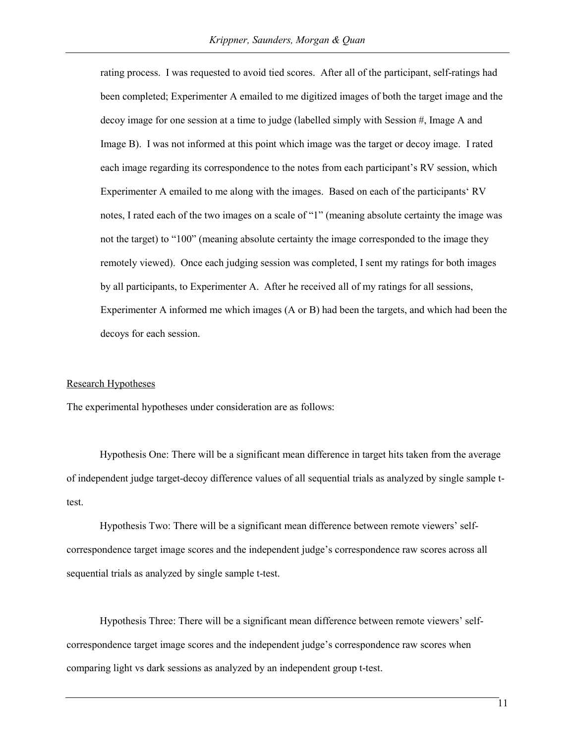rating process. I was requested to avoid tied scores. After all of the participant, self-ratings had been completed; Experimenter A emailed to me digitized images of both the target image and the decoy image for one session at a time to judge (labelled simply with Session #, Image A and Image B). I was not informed at this point which image was the target or decoy image. I rated each image regarding its correspondence to the notes from each participant's RV session, which Experimenter A emailed to me along with the images. Based on each of the participants' RV notes, I rated each of the two images on a scale of "1" (meaning absolute certainty the image was not the target) to "100" (meaning absolute certainty the image corresponded to the image they remotely viewed). Once each judging session was completed, I sent my ratings for both images by all participants, to Experimenter A. After he received all of my ratings for all sessions, Experimenter A informed me which images (A or B) had been the targets, and which had been the decoys for each session.

#### Research Hypotheses

The experimental hypotheses under consideration are as follows:

Hypothesis One: There will be a significant mean difference in target hits taken from the average of independent judge target-decoy difference values of all sequential trials as analyzed by single sample ttest.

Hypothesis Two: There will be a significant mean difference between remote viewers' selfcorrespondence target image scores and the independent judge's correspondence raw scores across all sequential trials as analyzed by single sample t-test.

Hypothesis Three: There will be a significant mean difference between remote viewers' selfcorrespondence target image scores and the independent judge's correspondence raw scores when comparing light vs dark sessions as analyzed by an independent group t-test.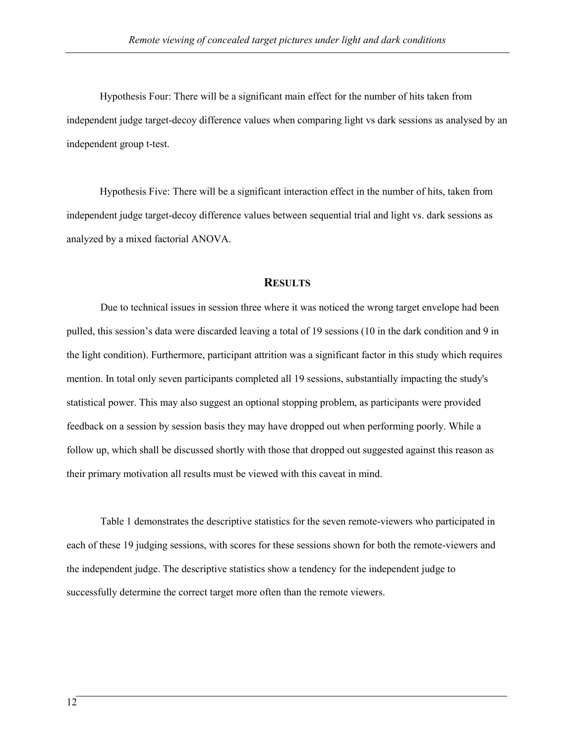Hypothesis Four: There will be a significant main effect for the number of hits taken from independent judge target-decoy difference values when comparing light vs dark sessions as analysed by an independent group t-test.

Hypothesis Five: There will be a significant interaction effect in the number of hits, taken from independent judge target-decoy difference values between sequential trial and light vs. dark sessions as analyzed by a mixed factorial ANOVA.

## **RESULTS**

Due to technical issues in session three where it was noticed the wrong target envelope had been pulled, this session's data were discarded leaving a total of 19 sessions (10 in the dark condition and 9 in the light condition). Furthermore, participant attrition was a significant factor in this study which requires mention. In total only seven participants completed all 19 sessions, substantially impacting the study's statistical power. This may also suggest an optional stopping problem, as participants were provided feedback on a session by session basis they may have dropped out when performing poorly. While a follow up, which shall be discussed shortly with those that dropped out suggested against this reason as their primary motivation all results must be viewed with this caveat in mind.

Table 1 demonstrates the descriptive statistics for the seven remote-viewers who participated in each of these 19 judging sessions, with scores for these sessions shown for both the remote-viewers and the independent judge. The descriptive statistics show a tendency for the independent judge to successfully determine the correct target more often than the remote viewers.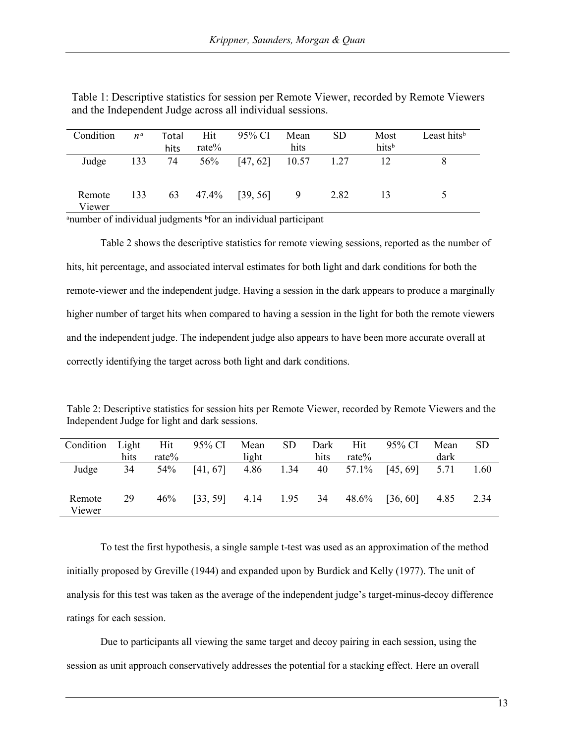| Condition | $n^{\alpha}$ | Total | Hit      | 95% CI                | Mean | <b>SD</b> | Most  | Least hits <sup>b</sup> |
|-----------|--------------|-------|----------|-----------------------|------|-----------|-------|-------------------------|
|           |              | hits  | rate $%$ |                       | hits |           | hitsb |                         |
| Judge     | 133          | 74    | 56%      | $[47, 62]$ 10.57 1.27 |      |           | 12    |                         |
|           |              |       |          |                       |      |           |       |                         |
| Remote    | 133          | 63    | 47.4%    | [39, 56]              | 9    | 2.82      | 13    |                         |
| Viewer    |              |       |          |                       |      |           |       |                         |

Table 1: Descriptive statistics for session per Remote Viewer, recorded by Remote Viewers and the Independent Judge across all individual sessions.

<sup>a</sup>number of individual judgments <sup>b</sup>for an individual participant

Table 2 shows the descriptive statistics for remote viewing sessions, reported as the number of hits, hit percentage, and associated interval estimates for both light and dark conditions for both the remote-viewer and the independent judge. Having a session in the dark appears to produce a marginally higher number of target hits when compared to having a session in the light for both the remote viewers and the independent judge. The independent judge also appears to have been more accurate overall at correctly identifying the target across both light and dark conditions.

Table 2: Descriptive statistics for session hits per Remote Viewer, recorded by Remote Viewers and the Independent Judge for light and dark sessions.

| Condition        | Light | Hit      | 95% CI   | Mean  | SD.  | Dark | Hit      | 95% CI   | Mean | <b>SD</b> |
|------------------|-------|----------|----------|-------|------|------|----------|----------|------|-----------|
|                  | hits  | rate $%$ |          | light |      | hits | rate $%$ |          | dark |           |
| Judge            | 34    | 54%      | [41, 67] | 4.86  | 1.34 | 40   | 57.1%    | [45, 69] | 5.71 | 1.60      |
| Remote<br>Viewer | 29    | 46%      | [33, 59] | 4.14  | 1.95 | 34   | 48.6%    | [36, 60] | 4.85 | 2.34      |

To test the first hypothesis, a single sample t-test was used as an approximation of the method initially proposed by Greville (1944) and expanded upon by Burdick and Kelly (1977). The unit of analysis for this test was taken as the average of the independent judge's target-minus-decoy difference ratings for each session.

Due to participants all viewing the same target and decoy pairing in each session, using the session as unit approach conservatively addresses the potential for a stacking effect. Here an overall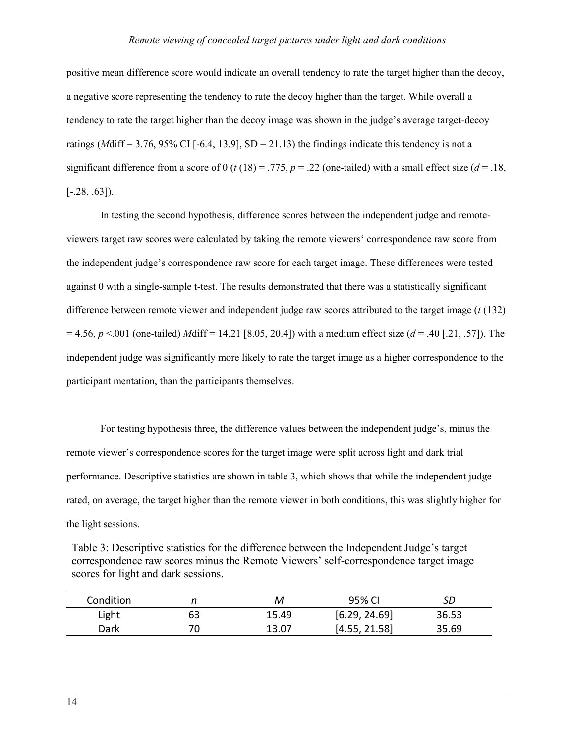positive mean difference score would indicate an overall tendency to rate the target higher than the decoy, a negative score representing the tendency to rate the decoy higher than the target. While overall a tendency to rate the target higher than the decoy image was shown in the judge's average target-decoy ratings ( $M\text{diff} = 3.76, 95\% \text{ CI}$  [-6.4, 13.9], SD = 21.13) the findings indicate this tendency is not a significant difference from a score of 0 ( $t(18) = .775$ ,  $p = .22$  (one-tailed) with a small effect size ( $d = .18$ ,  $[-.28, .63]$ .

In testing the second hypothesis, difference scores between the independent judge and remoteviewers target raw scores were calculated by taking the remote viewers' correspondence raw score from the independent judge's correspondence raw score for each target image. These differences were tested against 0 with a single-sample t-test. The results demonstrated that there was a statistically significant difference between remote viewer and independent judge raw scores attributed to the target image (*t* (132)  $= 4.56, p < .001$  (one-tailed) *M*diff = 14.21 [8.05, 20.4]) with a medium effect size (*d* = .40 [.21, .57]). The independent judge was significantly more likely to rate the target image as a higher correspondence to the participant mentation, than the participants themselves.

For testing hypothesis three, the difference values between the independent judge's, minus the remote viewer's correspondence scores for the target image were split across light and dark trial performance. Descriptive statistics are shown in table 3, which shows that while the independent judge rated, on average, the target higher than the remote viewer in both conditions, this was slightly higher for the light sessions.

Table 3: Descriptive statistics for the difference between the Independent Judge's target correspondence raw scores minus the Remote Viewers' self-correspondence target image scores for light and dark sessions.

| Condition |    | м     | 95% CI        | SD    |
|-----------|----|-------|---------------|-------|
| Light     | 63 | 15.49 | [6.29, 24.69] | 36.53 |
| Dark      |    | 13.07 | [4.55, 21.58] | 35.69 |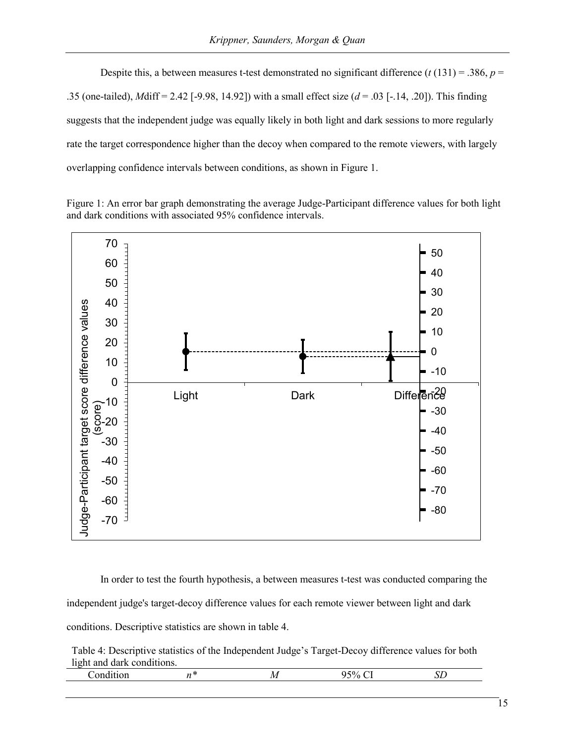Despite this, a between measures t-test demonstrated no significant difference  $(t(131) = .386, p =$ .35 (one-tailed), *M*diff = 2.42 [-9.98, 14.92]) with a small effect size (*d* = .03 [-.14, .20]). This finding suggests that the independent judge was equally likely in both light and dark sessions to more regularly rate the target correspondence higher than the decoy when compared to the remote viewers, with largely overlapping confidence intervals between conditions, as shown in Figure 1.

Figure 1: An error bar graph demonstrating the average Judge-Participant difference values for both light and dark conditions with associated 95% confidence intervals.



In order to test the fourth hypothesis, a between measures t-test was conducted comparing the independent judge's target-decoy difference values for each remote viewer between light and dark conditions. Descriptive statistics are shown in table 4.

Table 4: Descriptive statistics of the Independent Judge's Target-Decoy difference values for both light and dark conditions.

| , | $\mathbf{A}$<br>. . | . |  |  |
|---|---------------------|---|--|--|
|   |                     |   |  |  |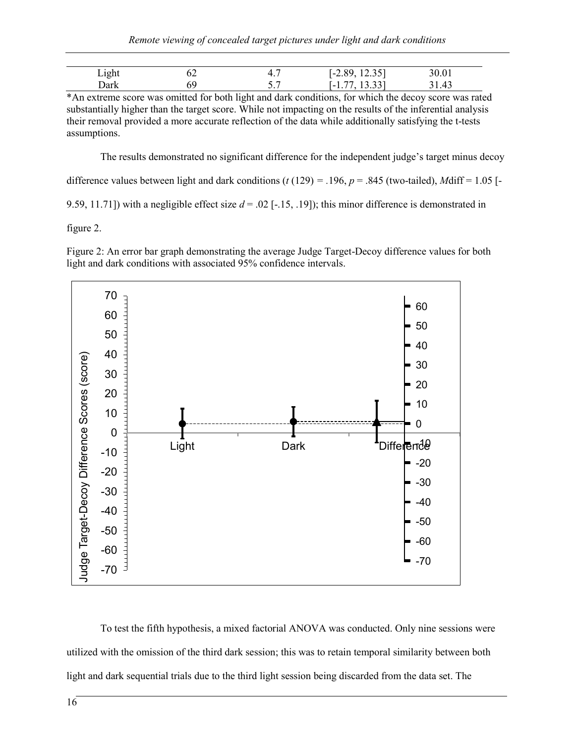| Light | OΖ | 4.,        | 12.35<br>-89<br>$1 - 2.89,$   | 50.01 |
|-------|----|------------|-------------------------------|-------|
| Dark  |    | . .<br>، ب | 13 337<br>l – I<br>10.JJ<br>. | 31.43 |

\*An extreme score was omitted for both light and dark conditions, for which the decoy score was rated substantially higher than the target score. While not impacting on the results of the inferential analysis their removal provided a more accurate reflection of the data while additionally satisfying the t-tests assumptions.

The results demonstrated no significant difference for the independent judge's target minus decoy

difference values between light and dark conditions  $(t (129) = .196, p = .845$  (two-tailed), *M*diff = 1.05 [-

9.59, 11.71]) with a negligible effect size  $d = .02$  [-.15, .19]); this minor difference is demonstrated in

figure 2.

Figure 2: An error bar graph demonstrating the average Judge Target-Decoy difference values for both light and dark conditions with associated 95% confidence intervals.



To test the fifth hypothesis, a mixed factorial ANOVA was conducted. Only nine sessions were utilized with the omission of the third dark session; this was to retain temporal similarity between both light and dark sequential trials due to the third light session being discarded from the data set. The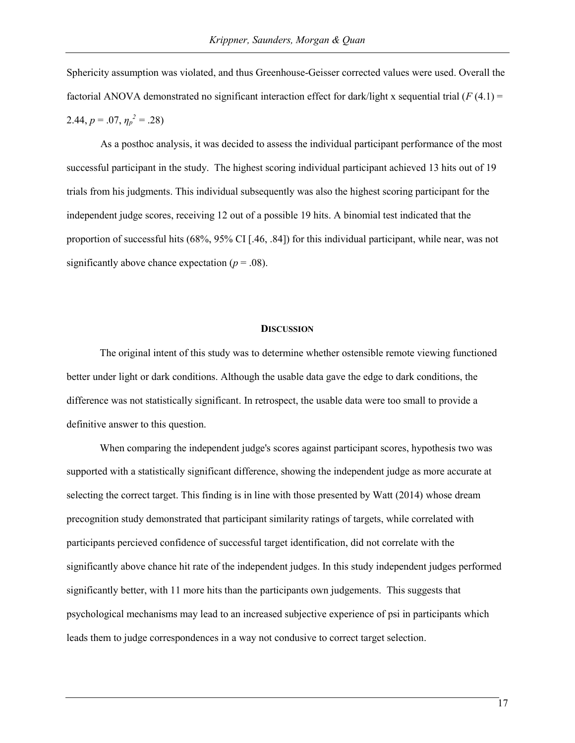Sphericity assumption was violated, and thus Greenhouse-Geisser corrected values were used. Overall the factorial ANOVA demonstrated no significant interaction effect for dark/light x sequential trial (*F* (4.1) = 2.44,  $p = .07$ ,  $\eta_p^2 = .28$ )

As a posthoc analysis, it was decided to assess the individual participant performance of the most successful participant in the study. The highest scoring individual participant achieved 13 hits out of 19 trials from his judgments. This individual subsequently was also the highest scoring participant for the independent judge scores, receiving 12 out of a possible 19 hits. A binomial test indicated that the proportion of successful hits (68%, 95% CI [.46, .84]) for this individual participant, while near, was not significantly above chance expectation  $(p = .08)$ .

#### **DISCUSSION**

The original intent of this study was to determine whether ostensible remote viewing functioned better under light or dark conditions. Although the usable data gave the edge to dark conditions, the difference was not statistically significant. In retrospect, the usable data were too small to provide a definitive answer to this question.

When comparing the independent judge's scores against participant scores, hypothesis two was supported with a statistically significant difference, showing the independent judge as more accurate at selecting the correct target. This finding is in line with those presented by Watt (2014) whose dream precognition study demonstrated that participant similarity ratings of targets, while correlated with participants percieved confidence of successful target identification, did not correlate with the significantly above chance hit rate of the independent judges. In this study independent judges performed significantly better, with 11 more hits than the participants own judgements. This suggests that psychological mechanisms may lead to an increased subjective experience of psi in participants which leads them to judge correspondences in a way not condusive to correct target selection.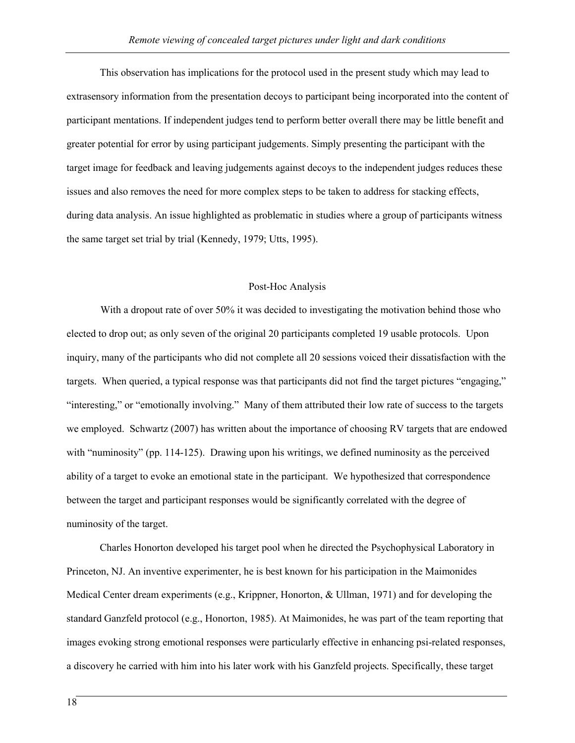This observation has implications for the protocol used in the present study which may lead to extrasensory information from the presentation decoys to participant being incorporated into the content of participant mentations. If independent judges tend to perform better overall there may be little benefit and greater potential for error by using participant judgements. Simply presenting the participant with the target image for feedback and leaving judgements against decoys to the independent judges reduces these issues and also removes the need for more complex steps to be taken to address for stacking effects, during data analysis. An issue highlighted as problematic in studies where a group of participants witness the same target set trial by trial (Kennedy, 1979; Utts, 1995).

## Post-Hoc Analysis

With a dropout rate of over 50% it was decided to investigating the motivation behind those who elected to drop out; as only seven of the original 20 participants completed 19 usable protocols. Upon inquiry, many of the participants who did not complete all 20 sessions voiced their dissatisfaction with the targets. When queried, a typical response was that participants did not find the target pictures "engaging," "interesting," or "emotionally involving." Many of them attributed their low rate of success to the targets we employed. Schwartz (2007) has written about the importance of choosing RV targets that are endowed with "numinosity" (pp. 114-125). Drawing upon his writings, we defined numinosity as the perceived ability of a target to evoke an emotional state in the participant. We hypothesized that correspondence between the target and participant responses would be significantly correlated with the degree of numinosity of the target.

Charles Honorton developed his target pool when he directed the Psychophysical Laboratory in Princeton, NJ. An inventive experimenter, he is best known for his participation in the Maimonides Medical Center dream experiments (e.g., Krippner, Honorton, & Ullman, 1971) and for developing the standard Ganzfeld protocol (e.g., Honorton, 1985). At Maimonides, he was part of the team reporting that images evoking strong emotional responses were particularly effective in enhancing psi-related responses, a discovery he carried with him into his later work with his Ganzfeld projects. Specifically, these target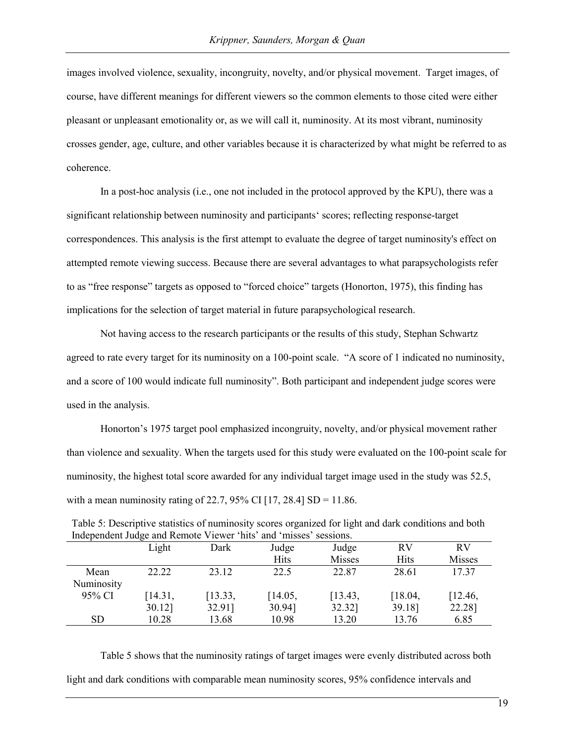images involved violence, sexuality, incongruity, novelty, and/or physical movement. Target images, of course, have different meanings for different viewers so the common elements to those cited were either pleasant or unpleasant emotionality or, as we will call it, numinosity. At its most vibrant, numinosity crosses gender, age, culture, and other variables because it is characterized by what might be referred to as coherence.

In a post-hoc analysis (i.e., one not included in the protocol approved by the KPU), there was a significant relationship between numinosity and participants' scores; reflecting response-target correspondences. This analysis is the first attempt to evaluate the degree of target numinosity's effect on attempted remote viewing success. Because there are several advantages to what parapsychologists refer to as "free response" targets as opposed to "forced choice" targets (Honorton, 1975), this finding has implications for the selection of target material in future parapsychological research.

Not having access to the research participants or the results of this study, Stephan Schwartz agreed to rate every target for its numinosity on a 100-point scale. "A score of 1 indicated no numinosity, and a score of 100 would indicate full numinosity". Both participant and independent judge scores were used in the analysis.

Honorton's 1975 target pool emphasized incongruity, novelty, and/or physical movement rather than violence and sexuality. When the targets used for this study were evaluated on the 100-point scale for numinosity, the highest total score awarded for any individual target image used in the study was 52.5, with a mean numinosity rating of 22.7, 95% CI [17, 28.4]  $SD = 11.86$ .

| independent Judge and Remote Viewer hits and misses sessions. |         |         |             |               |           |               |
|---------------------------------------------------------------|---------|---------|-------------|---------------|-----------|---------------|
|                                                               | Light   | Dark    | Judge       | Judge         | <b>RV</b> | <b>RV</b>     |
|                                                               |         |         | <b>Hits</b> | <b>Misses</b> | Hits      | <b>Misses</b> |
| Mean                                                          | 22.22   | 23.12   | 22.5        | 22.87         | 28.61     | 17.37         |
| Numinosity                                                    |         |         |             |               |           |               |
| 95% CI                                                        | [14.31, | [13.33, | [14.05,     | [13.43,       | [18.04,   | [12.46,       |
|                                                               | 30.12]  | 32.91]  | 30.94]      | 32.32]        | 39.18]    | 22.28]        |
| <b>SD</b>                                                     | 10.28   | 13.68   | 10.98       | 13.20         | 13.76     | 6.85          |

| Table 5: Descriptive statistics of numinosity scores organized for light and dark conditions and both |
|-------------------------------------------------------------------------------------------------------|
| Independent Judge and Remote Viewer 'hits' and 'misses' sessions.                                     |

Table 5 shows that the numinosity ratings of target images were evenly distributed across both light and dark conditions with comparable mean numinosity scores, 95% confidence intervals and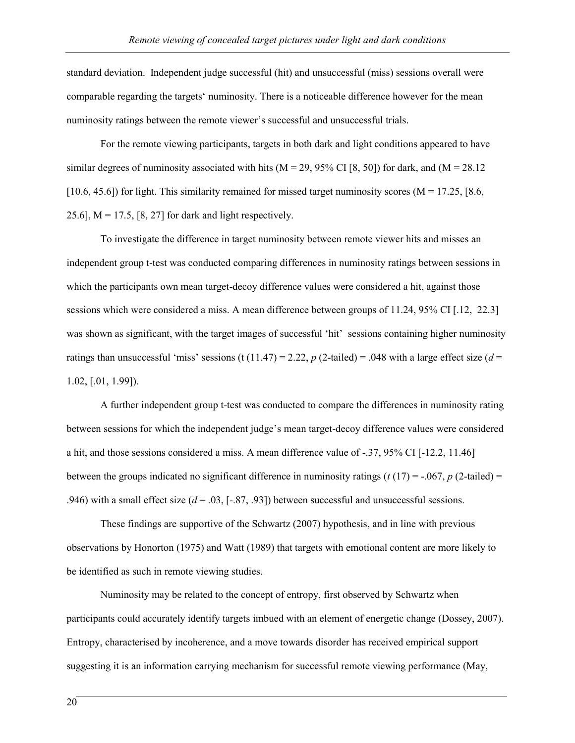standard deviation. Independent judge successful (hit) and unsuccessful (miss) sessions overall were comparable regarding the targets' numinosity. There is a noticeable difference however for the mean numinosity ratings between the remote viewer's successful and unsuccessful trials.

For the remote viewing participants, targets in both dark and light conditions appeared to have similar degrees of numinosity associated with hits ( $M = 29, 95\%$  CI [8, 50]) for dark, and ( $M = 28.12$ [10.6, 45.6]) for light. This similarity remained for missed target numinosity scores ( $M = 17.25$ , [8.6,] 25.6],  $M = 17.5$ , [8, 27] for dark and light respectively.

To investigate the difference in target numinosity between remote viewer hits and misses an independent group t-test was conducted comparing differences in numinosity ratings between sessions in which the participants own mean target-decoy difference values were considered a hit, against those sessions which were considered a miss. A mean difference between groups of 11.24, 95% CI [.12, 22.3] was shown as significant, with the target images of successful 'hit' sessions containing higher numinosity ratings than unsuccessful 'miss' sessions (t (11.47) = 2.22,  $p$  (2-tailed) = .048 with a large effect size ( $d =$ 1.02, [.01, 1.99]).

A further independent group t-test was conducted to compare the differences in numinosity rating between sessions for which the independent judge's mean target-decoy difference values were considered a hit, and those sessions considered a miss. A mean difference value of -.37, 95% CI [-12.2, 11.46] between the groups indicated no significant difference in numinosity ratings  $(t (17) = -.067, p (2-tailed) =$ .946) with a small effect size  $(d = .03, [-.87, .93])$  between successful and unsuccessful sessions.

These findings are supportive of the Schwartz (2007) hypothesis, and in line with previous observations by Honorton (1975) and Watt (1989) that targets with emotional content are more likely to be identified as such in remote viewing studies.

Numinosity may be related to the concept of entropy, first observed by Schwartz when participants could accurately identify targets imbued with an element of energetic change (Dossey, 2007). Entropy, characterised by incoherence, and a move towards disorder has received empirical support suggesting it is an information carrying mechanism for successful remote viewing performance (May,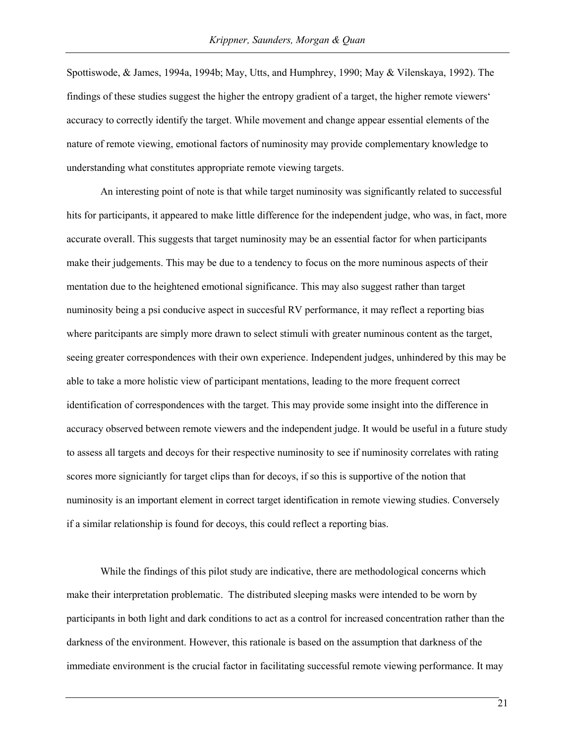Spottiswode, & James, 1994a, 1994b; May, Utts, and Humphrey, 1990; May & Vilenskaya, 1992). The findings of these studies suggest the higher the entropy gradient of a target, the higher remote viewers' accuracy to correctly identify the target. While movement and change appear essential elements of the nature of remote viewing, emotional factors of numinosity may provide complementary knowledge to understanding what constitutes appropriate remote viewing targets.

An interesting point of note is that while target numinosity was significantly related to successful hits for participants, it appeared to make little difference for the independent judge, who was, in fact, more accurate overall. This suggests that target numinosity may be an essential factor for when participants make their judgements. This may be due to a tendency to focus on the more numinous aspects of their mentation due to the heightened emotional significance. This may also suggest rather than target numinosity being a psi conducive aspect in succesful RV performance, it may reflect a reporting bias where paritcipants are simply more drawn to select stimuli with greater numinous content as the target, seeing greater correspondences with their own experience. Independent judges, unhindered by this may be able to take a more holistic view of participant mentations, leading to the more frequent correct identification of correspondences with the target. This may provide some insight into the difference in accuracy observed between remote viewers and the independent judge. It would be useful in a future study to assess all targets and decoys for their respective numinosity to see if numinosity correlates with rating scores more signiciantly for target clips than for decoys, if so this is supportive of the notion that numinosity is an important element in correct target identification in remote viewing studies. Conversely if a similar relationship is found for decoys, this could reflect a reporting bias.

While the findings of this pilot study are indicative, there are methodological concerns which make their interpretation problematic. The distributed sleeping masks were intended to be worn by participants in both light and dark conditions to act as a control for increased concentration rather than the darkness of the environment. However, this rationale is based on the assumption that darkness of the immediate environment is the crucial factor in facilitating successful remote viewing performance. It may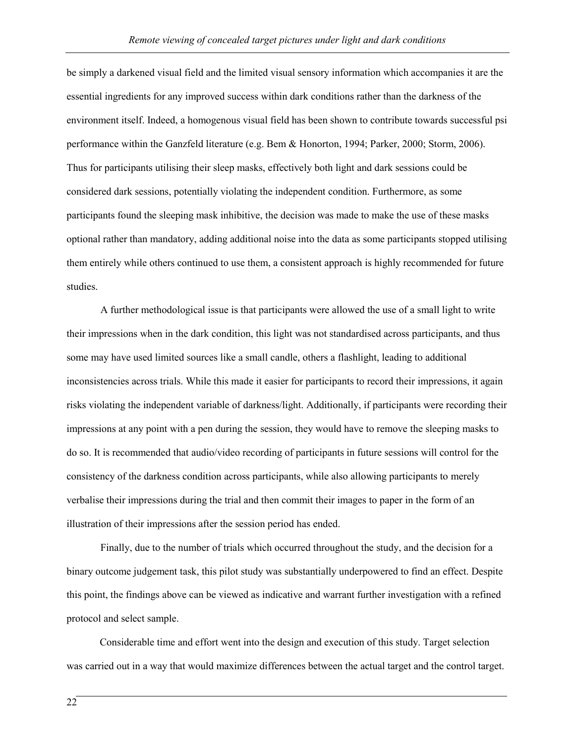be simply a darkened visual field and the limited visual sensory information which accompanies it are the essential ingredients for any improved success within dark conditions rather than the darkness of the environment itself. Indeed, a homogenous visual field has been shown to contribute towards successful psi performance within the Ganzfeld literature (e.g. Bem & Honorton, 1994; Parker, 2000; Storm, 2006). Thus for participants utilising their sleep masks, effectively both light and dark sessions could be considered dark sessions, potentially violating the independent condition. Furthermore, as some participants found the sleeping mask inhibitive, the decision was made to make the use of these masks optional rather than mandatory, adding additional noise into the data as some participants stopped utilising them entirely while others continued to use them, a consistent approach is highly recommended for future studies.

A further methodological issue is that participants were allowed the use of a small light to write their impressions when in the dark condition, this light was not standardised across participants, and thus some may have used limited sources like a small candle, others a flashlight, leading to additional inconsistencies across trials. While this made it easier for participants to record their impressions, it again risks violating the independent variable of darkness/light. Additionally, if participants were recording their impressions at any point with a pen during the session, they would have to remove the sleeping masks to do so. It is recommended that audio/video recording of participants in future sessions will control for the consistency of the darkness condition across participants, while also allowing participants to merely verbalise their impressions during the trial and then commit their images to paper in the form of an illustration of their impressions after the session period has ended.

Finally, due to the number of trials which occurred throughout the study, and the decision for a binary outcome judgement task, this pilot study was substantially underpowered to find an effect. Despite this point, the findings above can be viewed as indicative and warrant further investigation with a refined protocol and select sample.

Considerable time and effort went into the design and execution of this study. Target selection was carried out in a way that would maximize differences between the actual target and the control target.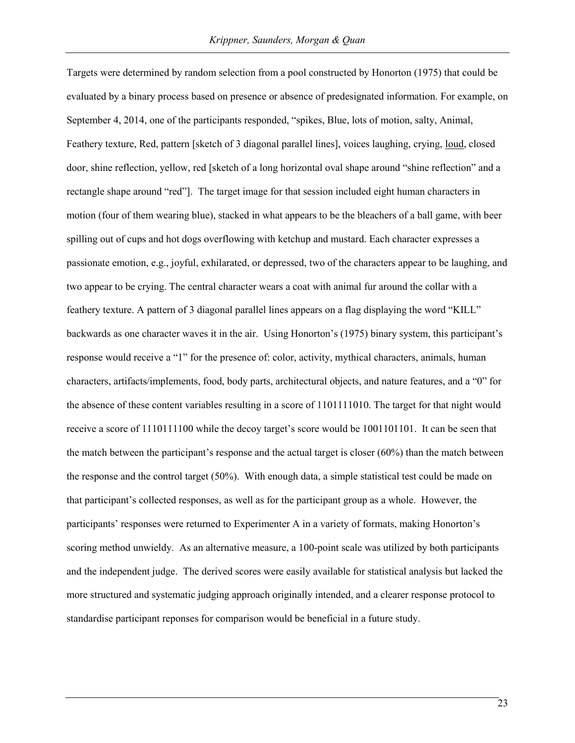Targets were determined by random selection from a pool constructed by Honorton (1975) that could be evaluated by a binary process based on presence or absence of predesignated information. For example, on September 4, 2014, one of the participants responded, "spikes, Blue, lots of motion, salty, Animal, Feathery texture, Red, pattern [sketch of 3 diagonal parallel lines], voices laughing, crying, loud, closed door, shine reflection, yellow, red [sketch of a long horizontal oval shape around "shine reflection" and a rectangle shape around "red"]. The target image for that session included eight human characters in motion (four of them wearing blue), stacked in what appears to be the bleachers of a ball game, with beer spilling out of cups and hot dogs overflowing with ketchup and mustard. Each character expresses a passionate emotion, e.g., joyful, exhilarated, or depressed, two of the characters appear to be laughing, and two appear to be crying. The central character wears a coat with animal fur around the collar with a feathery texture. A pattern of 3 diagonal parallel lines appears on a flag displaying the word "KILL" backwards as one character waves it in the air. Using Honorton's (1975) binary system, this participant's response would receive a "1" for the presence of: color, activity, mythical characters, animals, human characters, artifacts/implements, food, body parts, architectural objects, and nature features, and a "0" for the absence of these content variables resulting in a score of 1101111010. The target for that night would receive a score of 1110111100 while the decoy target's score would be 1001101101. It can be seen that the match between the participant's response and the actual target is closer (60%) than the match between the response and the control target (50%). With enough data, a simple statistical test could be made on that participant's collected responses, as well as for the participant group as a whole. However, the participants' responses were returned to Experimenter A in a variety of formats, making Honorton's scoring method unwieldy. As an alternative measure, a 100-point scale was utilized by both participants and the independent judge. The derived scores were easily available for statistical analysis but lacked the more structured and systematic judging approach originally intended, and a clearer response protocol to standardise participant reponses for comparison would be beneficial in a future study.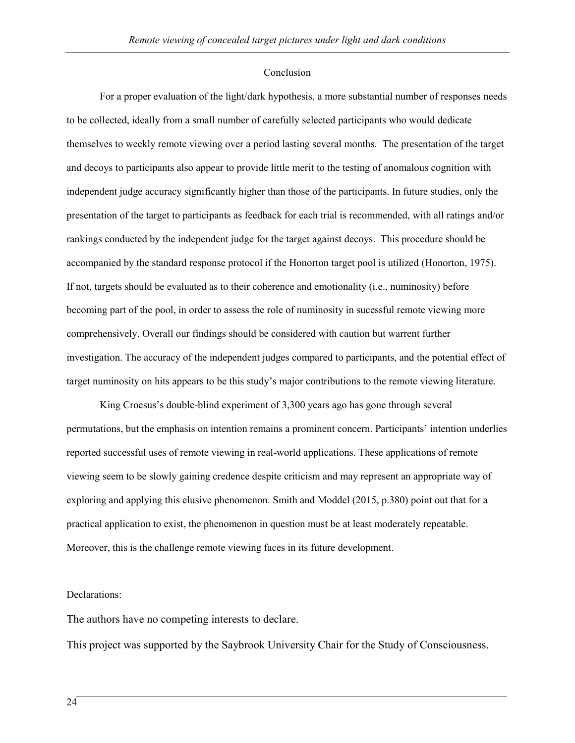## Conclusion

For a proper evaluation of the light/dark hypothesis, a more substantial number of responses needs to be collected, ideally from a small number of carefully selected participants who would dedicate themselves to weekly remote viewing over a period lasting several months. The presentation of the target and decoys to participants also appear to provide little merit to the testing of anomalous cognition with independent judge accuracy significantly higher than those of the participants. In future studies, only the presentation of the target to participants as feedback for each trial is recommended, with all ratings and/or rankings conducted by the independent judge for the target against decoys. This procedure should be accompanied by the standard response protocol if the Honorton target pool is utilized (Honorton, 1975). If not, targets should be evaluated as to their coherence and emotionality (i.e., numinosity) before becoming part of the pool, in order to assess the role of numinosity in sucessful remote viewing more comprehensively. Overall our findings should be considered with caution but warrent further investigation. The accuracy of the independent judges compared to participants, and the potential effect of target numinosity on hits appears to be this study's major contributions to the remote viewing literature.

King Croesus's double-blind experiment of 3,300 years ago has gone through several permutations, but the emphasis on intention remains a prominent concern. Participants' intention underlies reported successful uses of remote viewing in real-world applications. These applications of remote viewing seem to be slowly gaining credence despite criticism and may represent an appropriate way of exploring and applying this elusive phenomenon. Smith and Moddel (2015, p.380) point out that for a practical application to exist, the phenomenon in question must be at least moderately repeatable. Moreover, this is the challenge remote viewing faces in its future development.

### Declarations:

The authors have no competing interests to declare.

This project was supported by the Saybrook University Chair for the Study of Consciousness.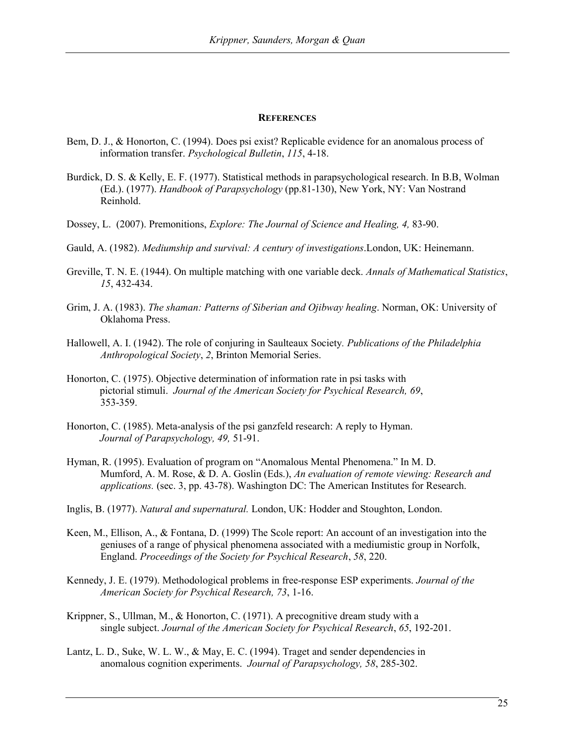#### **REFERENCES**

- Bem, D. J., & Honorton, C. (1994). Does psi exist? Replicable evidence for an anomalous process of information transfer. *Psychological Bulletin*, *115*, 4-18.
- Burdick, D. S. & Kelly, E. F. (1977). Statistical methods in parapsychological research. In B.B, Wolman (Ed.). (1977). *Handbook of Parapsychology* (pp.81-130), New York, NY: Van Nostrand Reinhold.
- Dossey, L. (2007). Premonitions, *Explore: The Journal of Science and Healing, 4,* 83-90.
- Gauld, A. (1982). *Mediumship and survival: A century of investigations*.London, UK: Heinemann.
- Greville, T. N. E. (1944). On multiple matching with one variable deck. *Annals of Mathematical Statistics*, *15*, 432-434.
- Grim, J. A. (1983). *The shaman: Patterns of Siberian and Ojibway healing*. Norman, OK: University of Oklahoma Press.
- Hallowell, A. I. (1942). The role of conjuring in Saulteaux Society*. Publications of the Philadelphia Anthropological Society*, *2*, Brinton Memorial Series.
- Honorton, C. (1975). Objective determination of information rate in psi tasks with pictorial stimuli. *Journal of the American Society for Psychical Research, 69*, 353-359.
- Honorton, C. (1985). Meta-analysis of the psi ganzfeld research: A reply to Hyman. *Journal of Parapsychology, 49,* 51-91.
- Hyman, R. (1995). Evaluation of program on "Anomalous Mental Phenomena." In M. D. Mumford, A. M. Rose, & D. A. Goslin (Eds.), *An evaluation of remote viewing: Research and applications.* (sec. 3, pp. 43-78). Washington DC: The American Institutes for Research.
- Inglis, B. (1977). *Natural and supernatural.* London, UK: Hodder and Stoughton, London.
- Keen, M., Ellison, A., & Fontana, D. (1999) The Scole report: An account of an investigation into the geniuses of a range of physical phenomena associated with a mediumistic group in Norfolk, England. *Proceedings of the Society for Psychical Research*, *58*, 220.
- Kennedy, J. E. (1979). Methodological problems in free-response ESP experiments. *Journal of the American Society for Psychical Research, 73*, 1-16.
- Krippner, S., Ullman, M., & Honorton, C. (1971). A precognitive dream study with a single subject. *Journal of the American Society for Psychical Research*, *65*, 192-201.
- Lantz, L. D., Suke, W. L. W., & May, E. C. (1994). Traget and sender dependencies in anomalous cognition experiments. *Journal of Parapsychology, 58*, 285-302.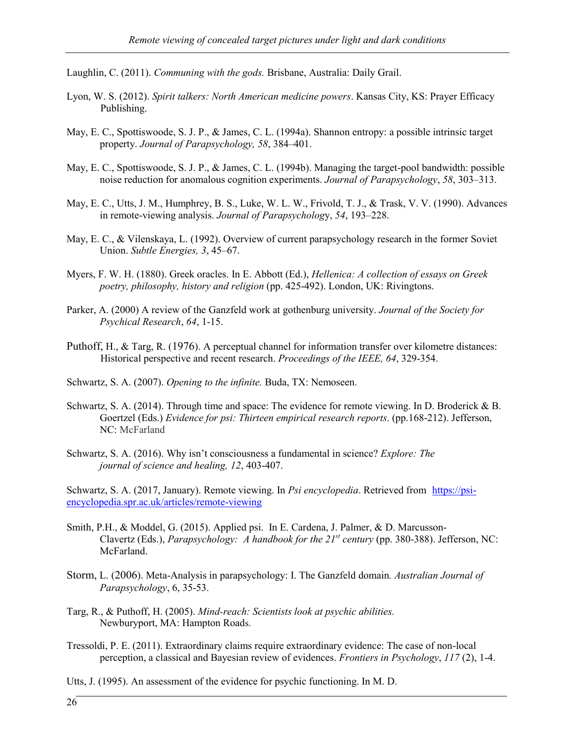Laughlin, C. (2011). *Communing with the gods.* Brisbane, Australia: Daily Grail.

- Lyon, W. S. (2012). *Spirit talkers: North American medicine powers*. Kansas City, KS: Prayer Efficacy Publishing.
- May, E. C., Spottiswoode, S. J. P., & James, C. L. (1994a). Shannon entropy: a possible intrinsic target property. *Journal of Parapsychology, 58*, 384–401.
- May, E. C., Spottiswoode, S. J. P., & James, C. L. (1994b). Managing the target-pool bandwidth: possible noise reduction for anomalous cognition experiments. *Journal of Parapsychology*, *58*, 303–313.
- May, E. C., Utts, J. M., Humphrey, B. S., Luke, W. L. W., Frivold, T. J., & Trask, V. V. (1990). Advances in remote-viewing analysis. *Journal of Parapsycholog*y, *54*, 193–228.
- May, E. C., & Vilenskaya, L. (1992). Overview of current parapsychology research in the former Soviet Union. *Subtle Energies, 3*, 45–67.
- Myers, F. W. H. (1880). Greek oracles. In E. Abbott (Ed.), *Hellenica: A collection of essays on Greek poetry, philosophy, history and religion* (pp. 425-492). London, UK: Rivingtons.
- Parker, A. (2000) A review of the Ganzfeld work at gothenburg university. *Journal of the Society for Psychical Research*, *64*, 1-15.
- Puthoff, H., & Targ, R. (1976). A perceptual channel for information transfer over kilometre distances: Historical perspective and recent research. *Proceedings of the IEEE, 64*, 329-354.
- Schwartz, S. A. (2007). *Opening to the infinite.* Buda, TX: Nemoseen.
- Schwartz, S. A. (2014). Through time and space: The evidence for remote viewing. In D. Broderick & B. Goertzel (Eds.) *Evidence for psi: Thirteen empirical research reports*. (pp.168-212). Jefferson, NC: McFarland
- Schwartz, S. A. (2016). Why isn't consciousness a fundamental in science? *Explore: The journal of science and healing, 12*, 403-407.

Schwartz, S. A. (2017, January). Remote viewing. In *Psi encyclopedia*. Retrieved from [https://psi](https://psi-encyclopedia.spr.ac.uk/articles/remote-viewing)[encyclopedia.spr.ac.uk/articles/remote-viewing](https://psi-encyclopedia.spr.ac.uk/articles/remote-viewing)

- Smith, P.H., & Moddel, G. (2015). Applied psi. In E. Cardena, J. Palmer, & D. Marcusson-Clavertz (Eds.), *Parapsychology: A handbook for the 21st century* (pp. 380-388). Jefferson, NC: McFarland.
- Storm, L. (2006). Meta-Analysis in parapsychology: I. The Ganzfeld domain*. Australian Journal of Parapsychology*, 6, 35-53.
- Targ, R., & Puthoff, H. (2005). *Mind-reach: Scientists look at psychic abilities.*  Newburyport, MA: Hampton Roads.
- Tressoldi, P. E. (2011). Extraordinary claims require extraordinary evidence: The case of non-local perception, a classical and Bayesian review of evidences. *Frontiers in Psychology*, *117* (2), 1-4.

Utts, J. (1995). An assessment of the evidence for psychic functioning. In M. D.